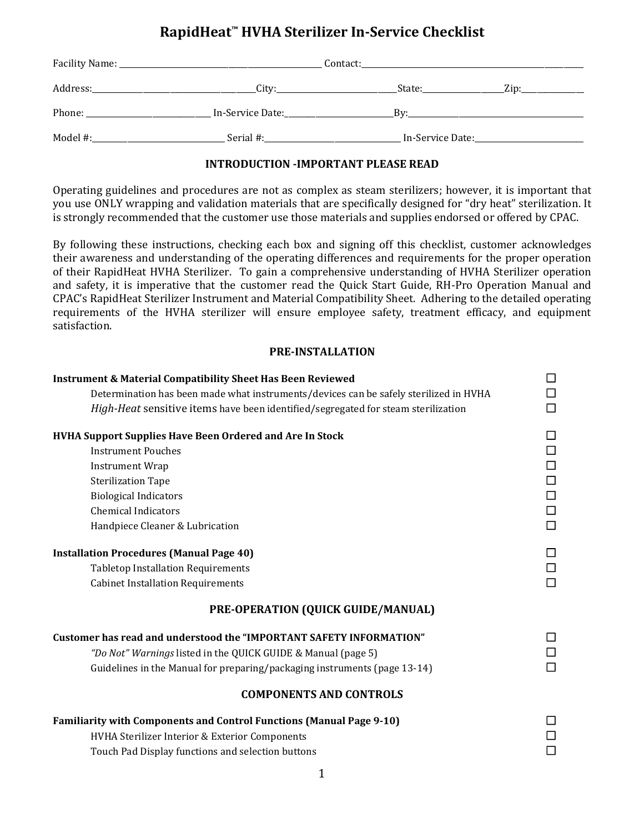# **RapidHeat™ HVHA Sterilizer In-Service Checklist**

| Facility Name: _ | Contact:<br><u> 1980 - Andrea Andrews, amerikansk politik (</u> |                  |            |
|------------------|-----------------------------------------------------------------|------------------|------------|
| Address:         | City:                                                           | State:           | $\rm Zip:$ |
| Phone:           | In-Service Date:                                                | Bv:              |            |
| Model #:         | Serial #:                                                       | In-Service Date: |            |

## **INTRODUCTION -IMPORTANT PLEASE READ**

Operating guidelines and procedures are not as complex as steam sterilizers; however, it is important that you use ONLY wrapping and validation materials that are specifically designed for "dry heat" sterilization. It is strongly recommended that the customer use those materials and supplies endorsed or offered by CPAC.

By following these instructions, checking each box and signing off this checklist, customer acknowledges their awareness and understanding of the operating differences and requirements for the proper operation of their RapidHeat HVHA Sterilizer. To gain a comprehensive understanding of HVHA Sterilizer operation and safety, it is imperative that the customer read the Quick Start Guide, RH-Pro Operation Manual and CPAC's RapidHeat Sterilizer Instrument and Material Compatibility Sheet. Adhering to the detailed operating requirements of the HVHA sterilizer will ensure employee safety, treatment efficacy, and equipment satisfaction.

#### **PRE-INSTALLATION**

| <b>Instrument &amp; Material Compatibility Sheet Has Been Reviewed</b>                | $\Box$           |  |
|---------------------------------------------------------------------------------------|------------------|--|
| Determination has been made what instruments/devices can be safely sterilized in HVHA | $\Box$           |  |
| High-Heat sensitive items have been identified/segregated for steam sterilization     | $\Box$           |  |
| <b>HVHA Support Supplies Have Been Ordered and Are In Stock</b>                       | $\Box$           |  |
| <b>Instrument Pouches</b>                                                             | $\Box$<br>$\Box$ |  |
| <b>Instrument Wrap</b>                                                                |                  |  |
| <b>Sterilization Tape</b>                                                             |                  |  |
| <b>Biological Indicators</b>                                                          |                  |  |
| <b>Chemical Indicators</b>                                                            |                  |  |
| Handpiece Cleaner & Lubrication                                                       | $\Box$           |  |
| <b>Installation Procedures (Manual Page 40)</b>                                       | $\Box$           |  |
| <b>Tabletop Installation Requirements</b>                                             |                  |  |
| <b>Cabinet Installation Requirements</b>                                              | $\Box$           |  |
| PRE-OPERATION (QUICK GUIDE/MANUAL)                                                    |                  |  |
| <b>Customer has read and understood the "IMPORTANT SAFETY INFORMATION"</b>            |                  |  |
| "Do Not" Warnings listed in the QUICK GUIDE & Manual (page 5)                         | $\Box$           |  |
| Guidelines in the Manual for preparing/packaging instruments (page 13-14)             | $\Box$           |  |
| <b>COMPONENTS AND CONTROLS</b>                                                        |                  |  |
| <b>Familiarity with Components and Control Functions (Manual Page 9-10)</b>           |                  |  |
| HVHA Sterilizer Interior & Exterior Components                                        |                  |  |
| Touch Pad Display functions and selection buttons                                     | □                |  |